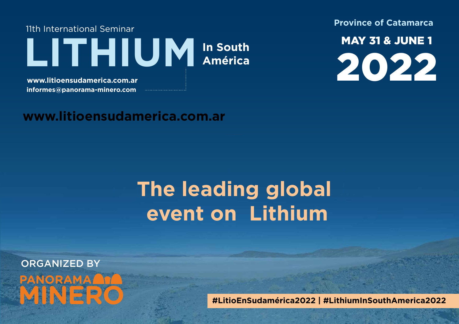11th International Seminar LITHIUM In South LAN INTILUI<sup>V</sup>I América<br>www.litioensudamerica.com.ar<br>informes@paporama-minero.com

**informes@panorama-minero.com**

**Province of Catamarca**

MAY 31 & JUNE 1

## **www.litioensudamerica.com.ar**

# **The leading global event on Lithium**

ORGANIZED BY **PANORAMA MINERO**

**#LitioEnSudamérica2022 | #LithiumInSouthAmerica2022**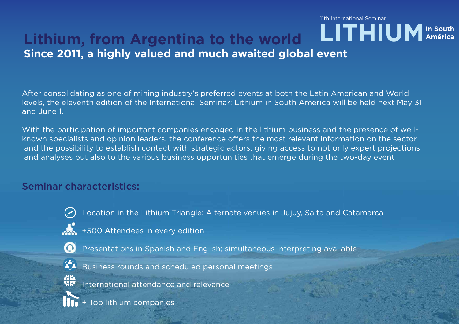### **Lithium, from Argentina to the world Since 2011, a highly valued and much awaited global event**  11th International Seminar LITHIUM<sup>In South</sup>

After consolidating as one of mining industry's preferred events at both the Latin American and World levels, the eleventh edition of the International Seminar: Lithium in South America will be held next May 31 and June 1.

With the participation of important companies engaged in the lithium business and the presence of wellknown specialists and opinion leaders, the conference offers the most relevant information on the sector and the possibility to establish contact with strategic actors, giving access to not only expert projections and analyses but also to the various business opportunities that emerge during the two-day event

### Seminar characteristics:



Location in the Lithium Triangle: Alternate venues in Jujuy, Salta and Catamarca

 $\frac{1}{200}$  +500 Attendees in every edition



Presentations in Spanish and English; simultaneous interpreting available



Business rounds and scheduled personal meetings



International attendance and relevance

+ Top lithium companies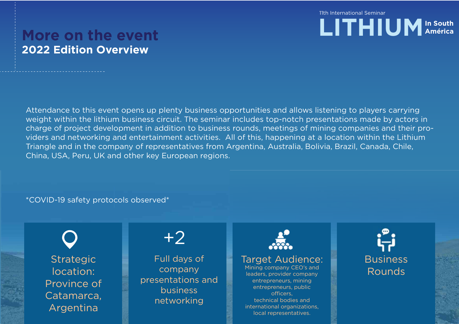11th International Seminar LITHIUM<sup>In South</sup>

## **More on the event 2022 Edition Overview**

Attendance to this event opens up plenty business opportunities and allows listening to players carrying weight within the lithium business circuit. The seminar includes top-notch presentations made by actors in charge of project development in addition to business rounds, meetings of mining companies and their providers and networking and entertainment activities. All of this, happening at a location within the Lithium Triangle and in the company of representatives from Argentina, Australia, Bolivia, Brazil, Canada, Chile, China, USA, Peru, UK and other key European regions.

#### \*COVID-19 safety protocols observed\*

**Strategic** location: Province of Catamarca, Argentina

# +2

Full days of company presentations and business networking



**Business** Rounds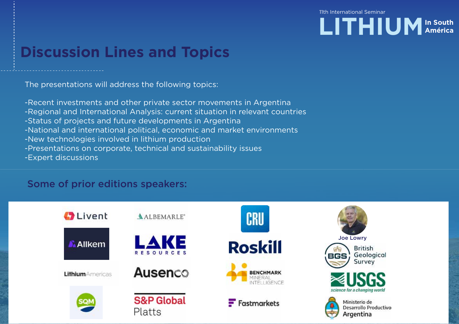11th International Seminar



# **Discussion Lines and Topics**

The presentations will address the following topics:

-Recent investments and other private sector movements in Argentina -Regional and International Analysis: current situation in relevant countries -Status of projects and future developments in Argentina -National and international political, economic and market environments -New technologies involved in lithium production -Presentations on corporate, technical and sustainability issues -Expert discussions

#### Some of prior editions speakers:

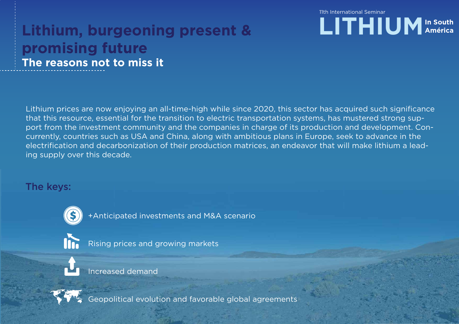#### 11th International Seminar

## **Lithium, burgeoning present & promising future The reasons not to miss it**



Lithium prices are now enjoying an all-time-high while since 2020, this sector has acquired such significance that this resource, essential for the transition to electric transportation systems, has mustered strong support from the investment community and the companies in charge of its production and development. Concurrently, countries such as USA and China, along with ambitious plans in Europe, seek to advance in the electrification and decarbonization of their production matrices, an endeavor that will make lithium a leading supply over this decade.

#### The keys:



+Anticipated investments and M&A scenario



Rising prices and growing markets

Increased demand



Geopolitical evolution and favorable global agreements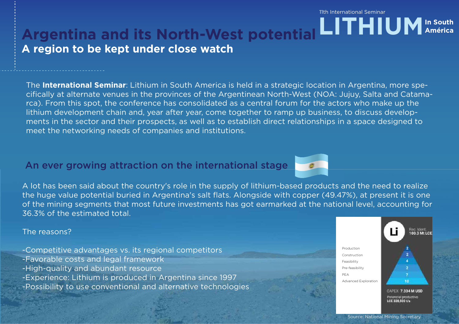11th International Seminar

# Argentina and its North-West potential **LITHIUM** In South **A region to be kept under close watch**

The **International Seminar**: Lithium in South America is held in a strategic location in Argentina, more specifically at alternate venues in the provinces of the Argentinean North-West (NOA: Jujuy, Salta and Catamarca). From this spot, the conference has consolidated as a central forum for the actors who make up the lithium development chain and, year after year, come together to ramp up business, to discuss developments in the sector and their prospects, as well as to establish direct relationships in a space designed to meet the networking needs of companies and institutions.

### An ever growing attraction on the international stage



A lot has been said about the country's role in the supply of lithium-based products and the need to realize the huge value potential buried in Argentina's salt flats. Alongside with copper (49.47%), at present it is one of the mining segments that most future investments has got earmarked at the national level, accounting for 36.3% of the estimated total.

#### The reasons?

- -Competitive advantages vs. its regional competitors
- -Favorable costs and legal framework
- -High-quality and abundant resource
- -Experience: Lithium is produced in Argentina since 1997
- -Possibility to use conventional and alternative technologies